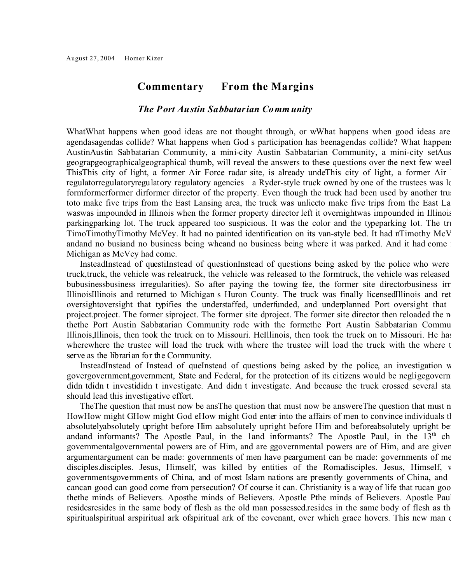## **Commentary From the Margins**

## *The Port Austin Sabbatarian Comm unity*

WhatWhat happens when good ideas are not thought through, or wWhat happens when good ideas are agendasagendas collide? What happens when God s participation has beenagendas collide? What happen AustinAustin Sabbatarian Community, a mini-city Austin Sabbatarian Community, a mini-city set Austrin Sabbatarian Community, a hill at the tip of Michigan set at the tip of Michigan set at the tip of Michigan set at the geograpgeographicalgeographical thumb, will reveal the answers to these questions over the next few weeks. ThisThis city of light, a former Air Force radar site, is already undeThis city of light, a former Air regulatorregulatoryregulatory regulatory agencies a Ryder-style truck owned by one of the trustees was lo formformerformer dirformer director of the property. Even though the truck had been used by another tru toto make five trips from the East Lansing area, the truck was unliceto make five trips from the East La was was impounded in Illinois when the former property director left it overnightwas impounded in Illinois parkingparking lot. The truck appeared too suspicious. It was the color and the typeparking lot. The tru TimoTimothyTimothy McVey. It had no painted identification on its van-style bed. It had nTimothy McV andand no busiand no business being wheand no business being where it was parked. And it had come Michigan as McVey had come.

InsteadInstead of questiInstead of questionInstead of questions being asked by the police who were truck, truck, the vehicle was releatruck, the vehicle was released to the formtruck, the vehicle was released bubusinessbusiness irregularities). So after paying the towing fee, the former site directorbusiness irr IllinoisIllinois and returned to Michigan s Huron County. The truck was finally licensedIllinois and ret oversight oversight that typifies the understaffed, underfunded, and underplanned Port oversight that project.project. The former siproject. The former site dproject. The former site director then reloaded the n thethe Port Austin Sabbatarian Community rode with the formethe Port Austin Sabbatarian Community Illinois, Illinois, then took the truck on to Missouri. HeIllinois, then took the truck on to Missouri. He has wherewhere the trustee will load the truck with where the trustee will load the truck with the where the trustee will load the truck with the where to serve as the librarian for the Community.

InsteadInstead of Instead of queInstead of questions being asked by the police, an investigation w govergovernment, government, State and Federal, for the protection of its citizens would be negligegovern didn tdidn t investididn t investigate. And didn t investigate. And because the truck crossed several state lines, Federal agencies, Federal and agencies, Federal agencies, Federal agencies, Federal agencies, Federal agenc should lead this investigative effort.

The The question that must now be ansThe question that must now be answere The question that must not coincident HowHow might GHow might God eHow might God enter into the affairs of men to convince individuals that they must walk absolutelyabsolutely upright before Him aabsolutely upright before Him and beforeabsolutely upright be andand informants? The Apostle Paul, in the 1and informants? The Apostle Paul, in the 13<sup>th</sup> ch governmentalgovernmental powers are of Him, and are ggovernmental powers are of Him, and are given argumentargument can be made: governments of men have peargument can be made: governments of me disciples.disciples. Jesus, Himself, was killed by entities of the Romadisciples. Jesus, Himself, was killed by entities of the Romadisciples. Jesus, Himself, was killed by entities of the Romadisciples. governments governments of China, and of most Islam nations are presently governments of China, and cancan good can good come from persecution? Of course it can. Christianity is a way of life that rucan good thethe minds of Believers. Aposthe minds of Believers. Apostle Pthe minds of Believers. Apostle Paul residesresides in the same body of flesh as the old man possessed. The same body of flesh as the old man possessed. The same body of flesh as the old man possessed. The same body of flesh as the old man becomes the same bo spiritualspiritual arspiritual ark of spiritual ark of the covenant, over which grace hovers. This new man of